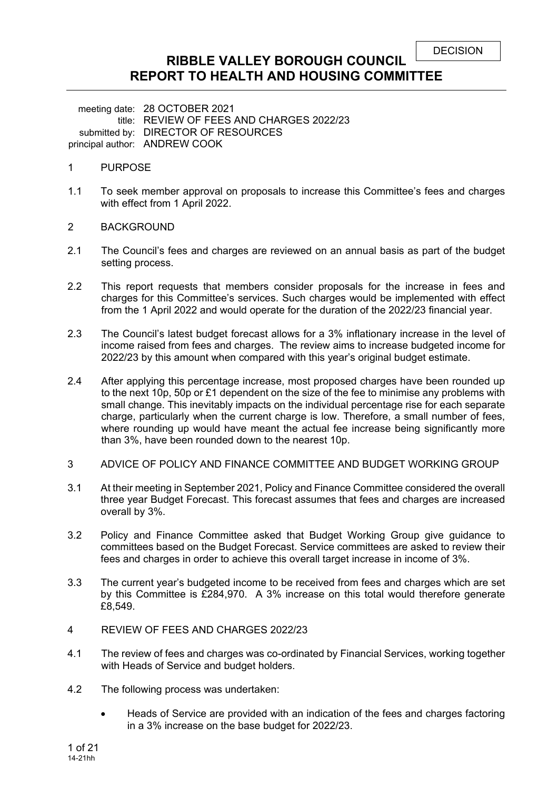# **RIBBLE VALLEY BOROUGH COUNCIL REPORT TO HEALTH AND HOUSING COMMITTEE**

meeting date: 28 OCTOBER 2021 title: REVIEW OF FEES AND CHARGES 2022/23 submitted by: DIRECTOR OF RESOURCES principal author: ANDREW COOK

### 1 PURPOSE

- 1.1 To seek member approval on proposals to increase this Committee's fees and charges with effect from 1 April 2022.
- 2 BACKGROUND
- 2.1 The Council's fees and charges are reviewed on an annual basis as part of the budget setting process.
- 2.2 This report requests that members consider proposals for the increase in fees and charges for this Committee's services. Such charges would be implemented with effect from the 1 April 2022 and would operate for the duration of the 2022/23 financial year.
- 2.3 The Council's latest budget forecast allows for a 3% inflationary increase in the level of income raised from fees and charges. The review aims to increase budgeted income for 2022/23 by this amount when compared with this year's original budget estimate.
- 2.4 After applying this percentage increase, most proposed charges have been rounded up to the next 10p, 50p or £1 dependent on the size of the fee to minimise any problems with small change. This inevitably impacts on the individual percentage rise for each separate charge, particularly when the current charge is low. Therefore, a small number of fees, where rounding up would have meant the actual fee increase being significantly more than 3%, have been rounded down to the nearest 10p.
- 3 ADVICE OF POLICY AND FINANCE COMMITTEE AND BUDGET WORKING GROUP
- 3.1 At their meeting in September 2021, Policy and Finance Committee considered the overall three year Budget Forecast. This forecast assumes that fees and charges are increased overall by 3%.
- 3.2 Policy and Finance Committee asked that Budget Working Group give guidance to committees based on the Budget Forecast. Service committees are asked to review their fees and charges in order to achieve this overall target increase in income of 3%.
- 3.3 The current year's budgeted income to be received from fees and charges which are set by this Committee is £284,970. A 3% increase on this total would therefore generate £8,549.
- 4 REVIEW OF FEES AND CHARGES 2022/23
- 4.1 The review of fees and charges was co-ordinated by Financial Services, working together with Heads of Service and budget holders.
- 4.2 The following process was undertaken:
	- Heads of Service are provided with an indication of the fees and charges factoring in a 3% increase on the base budget for 2022/23.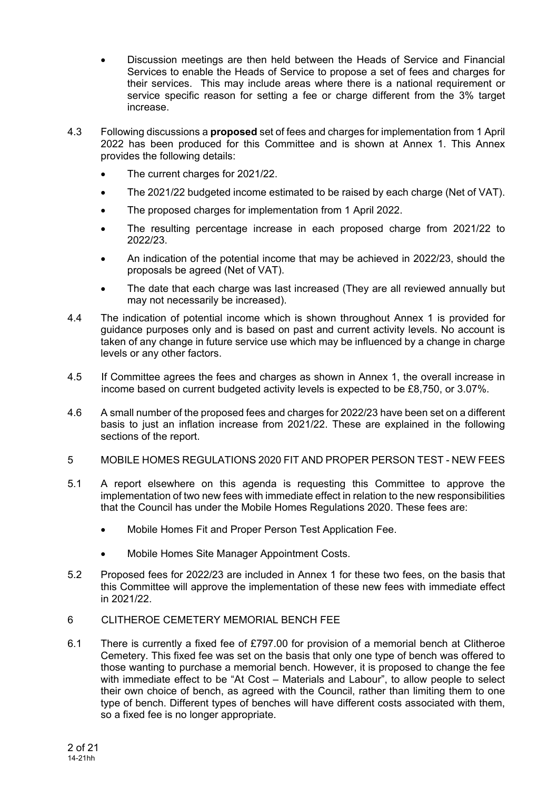- Discussion meetings are then held between the Heads of Service and Financial Services to enable the Heads of Service to propose a set of fees and charges for their services. This may include areas where there is a national requirement or service specific reason for setting a fee or charge different from the 3% target increase.
- 4.3 Following discussions a **proposed** set of fees and charges for implementation from 1 April 2022 has been produced for this Committee and is shown at Annex 1. This Annex provides the following details:
	- The current charges for 2021/22.
	- The 2021/22 budgeted income estimated to be raised by each charge (Net of VAT).
	- The proposed charges for implementation from 1 April 2022.
	- The resulting percentage increase in each proposed charge from 2021/22 to 2022/23.
	- An indication of the potential income that may be achieved in 2022/23, should the proposals be agreed (Net of VAT).
	- The date that each charge was last increased (They are all reviewed annually but may not necessarily be increased).
- 4.4 The indication of potential income which is shown throughout Annex 1 is provided for guidance purposes only and is based on past and current activity levels. No account is taken of any change in future service use which may be influenced by a change in charge levels or any other factors.
- 4.5 If Committee agrees the fees and charges as shown in Annex 1, the overall increase in income based on current budgeted activity levels is expected to be £8,750, or 3.07%.
- 4.6 A small number of the proposed fees and charges for 2022/23 have been set on a different basis to just an inflation increase from 2021/22. These are explained in the following sections of the report.
- 5 MOBILE HOMES REGULATIONS 2020 FIT AND PROPER PERSON TEST NEW FEES
- 5.1 A report elsewhere on this agenda is requesting this Committee to approve the implementation of two new fees with immediate effect in relation to the new responsibilities that the Council has under the Mobile Homes Regulations 2020. These fees are:
	- Mobile Homes Fit and Proper Person Test Application Fee.
	- Mobile Homes Site Manager Appointment Costs.
- 5.2 Proposed fees for 2022/23 are included in Annex 1 for these two fees, on the basis that this Committee will approve the implementation of these new fees with immediate effect in 2021/22.
- 6 CLITHEROE CEMETERY MEMORIAL BENCH FEE
- 6.1 There is currently a fixed fee of £797.00 for provision of a memorial bench at Clitheroe Cemetery. This fixed fee was set on the basis that only one type of bench was offered to those wanting to purchase a memorial bench. However, it is proposed to change the fee with immediate effect to be "At Cost – Materials and Labour", to allow people to select their own choice of bench, as agreed with the Council, rather than limiting them to one type of bench. Different types of benches will have different costs associated with them, so a fixed fee is no longer appropriate.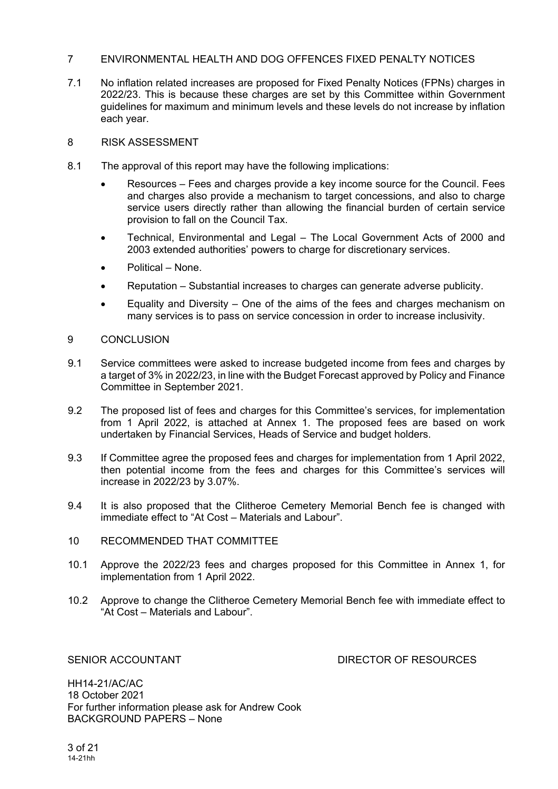## 7 ENVIRONMENTAL HEALTH AND DOG OFFENCES FIXED PENALTY NOTICES

- 7.1 No inflation related increases are proposed for Fixed Penalty Notices (FPNs) charges in 2022/23. This is because these charges are set by this Committee within Government guidelines for maximum and minimum levels and these levels do not increase by inflation each year.
- 8 RISK ASSESSMENT
- 8.1 The approval of this report may have the following implications:
	- Resources Fees and charges provide a key income source for the Council. Fees and charges also provide a mechanism to target concessions, and also to charge service users directly rather than allowing the financial burden of certain service provision to fall on the Council Tax.
	- Technical, Environmental and Legal The Local Government Acts of 2000 and 2003 extended authorities' powers to charge for discretionary services.
	- Political None.
	- Reputation Substantial increases to charges can generate adverse publicity.
	- Equality and Diversity One of the aims of the fees and charges mechanism on many services is to pass on service concession in order to increase inclusivity.

## 9 CONCLUSION

- 9.1 Service committees were asked to increase budgeted income from fees and charges by a target of 3% in 2022/23, in line with the Budget Forecast approved by Policy and Finance Committee in September 2021.
- 9.2 The proposed list of fees and charges for this Committee's services, for implementation from 1 April 2022, is attached at Annex 1. The proposed fees are based on work undertaken by Financial Services, Heads of Service and budget holders.
- 9.3 If Committee agree the proposed fees and charges for implementation from 1 April 2022, then potential income from the fees and charges for this Committee's services will increase in 2022/23 by 3.07%.
- 9.4 It is also proposed that the Clitheroe Cemetery Memorial Bench fee is changed with immediate effect to "At Cost – Materials and Labour".
- 10 RECOMMENDED THAT COMMITTEE
- 10.1 Approve the 2022/23 fees and charges proposed for this Committee in Annex 1, for implementation from 1 April 2022.
- 10.2 Approve to change the Clitheroe Cemetery Memorial Bench fee with immediate effect to "At Cost – Materials and Labour".

SENIOR ACCOUNTANT DIRECTOR OF RESOURCES

HH14-21/AC/AC 18 October 2021 For further information please ask for Andrew Cook BACKGROUND PAPERS – None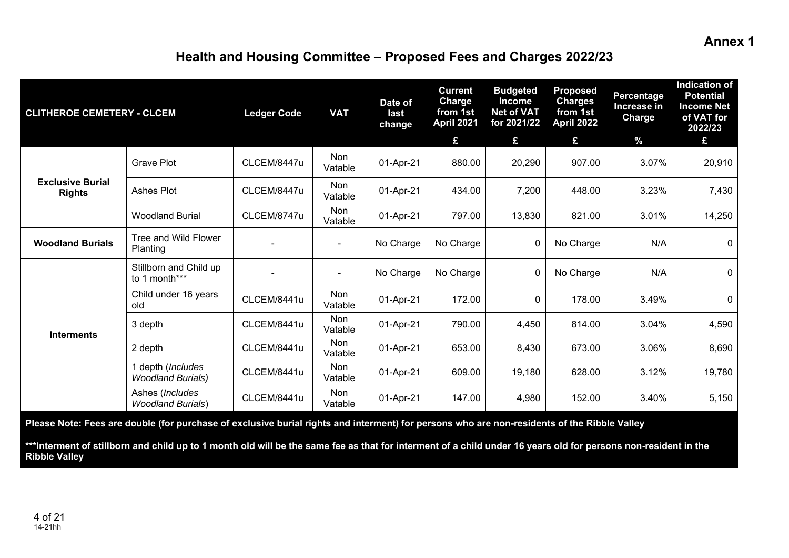## **Annex 1**

# **Health and Housing Committee – Proposed Fees and Charges 2022/23**

| <b>CLITHEROE CEMETERY - CLCEM</b>        |                                               | <b>Ledger Code</b> | <b>VAT</b>            | Date of<br>last<br>change | <b>Current</b><br><b>Charge</b><br>from 1st<br><b>April 2021</b><br>£ | <b>Budgeted</b><br><b>Income</b><br><b>Net of VAT</b><br>for 2021/22<br>£ | <b>Proposed</b><br><b>Charges</b><br>from 1st<br>April 2022<br>£ | <b>Percentage</b><br>Increase in<br>Charge<br>$\frac{9}{6}$ | <b>Indication of</b><br><b>Potential</b><br><b>Income Net</b><br>of VAT for<br>2022/23<br>£ |
|------------------------------------------|-----------------------------------------------|--------------------|-----------------------|---------------------------|-----------------------------------------------------------------------|---------------------------------------------------------------------------|------------------------------------------------------------------|-------------------------------------------------------------|---------------------------------------------------------------------------------------------|
|                                          | <b>Grave Plot</b>                             | CLCEM/8447u        | <b>Non</b><br>Vatable | 01-Apr-21                 | 880.00                                                                | 20,290                                                                    | 907.00                                                           | 3.07%                                                       | 20,910                                                                                      |
| <b>Exclusive Burial</b><br><b>Rights</b> | Ashes Plot                                    | CLCEM/8447u        | <b>Non</b><br>Vatable | 01-Apr-21                 | 434.00                                                                | 7,200                                                                     | 448.00                                                           | 3.23%                                                       | 7,430                                                                                       |
|                                          | <b>Woodland Burial</b>                        | CLCEM/8747u        | <b>Non</b><br>Vatable | 01-Apr-21                 | 797.00                                                                | 13,830                                                                    | 821.00                                                           | 3.01%                                                       | 14,250                                                                                      |
| <b>Woodland Burials</b>                  | Tree and Wild Flower<br>Planting              |                    | $\blacksquare$        | No Charge                 | No Charge                                                             | $\mathbf 0$                                                               | No Charge                                                        | N/A                                                         | $\mathbf 0$                                                                                 |
|                                          | Stillborn and Child up<br>to 1 month***       |                    | $\overline{a}$        | No Charge                 | No Charge                                                             | $\Omega$                                                                  | No Charge                                                        | N/A                                                         | $\mathbf 0$                                                                                 |
|                                          | Child under 16 years<br>old                   | CLCEM/8441u        | <b>Non</b><br>Vatable | 01-Apr-21                 | 172.00                                                                | $\mathbf{0}$                                                              | 178.00                                                           | 3.49%                                                       | $\mathbf{0}$                                                                                |
|                                          | 3 depth                                       | CLCEM/8441u        | <b>Non</b><br>Vatable | 01-Apr-21                 | 790.00                                                                | 4,450                                                                     | 814.00                                                           | 3.04%                                                       | 4,590                                                                                       |
| <b>Interments</b>                        | 2 depth                                       | CLCEM/8441u        | Non<br>Vatable        | 01-Apr-21                 | 653.00                                                                | 8,430                                                                     | 673.00                                                           | 3.06%                                                       | 8,690                                                                                       |
|                                          | 1 depth (Includes<br><b>Woodland Burials)</b> | CLCEM/8441u        | <b>Non</b><br>Vatable | 01-Apr-21                 | 609.00                                                                | 19,180                                                                    | 628.00                                                           | 3.12%                                                       | 19,780                                                                                      |
|                                          | Ashes (Includes<br><b>Woodland Burials)</b>   | CLCEM/8441u        | Non<br>Vatable        | 01-Apr-21                 | 147.00                                                                | 4,980                                                                     | 152.00                                                           | 3.40%                                                       | 5,150                                                                                       |

**Please Note: Fees are double (for purchase of exclusive burial rights and interment) for persons who are non-residents of the Ribble Valley** 

**\*\*\*Interment of stillborn and child up to 1 month old will be the same fee as that for interment of a child under 16 years old for persons non-resident in the Ribble Valley**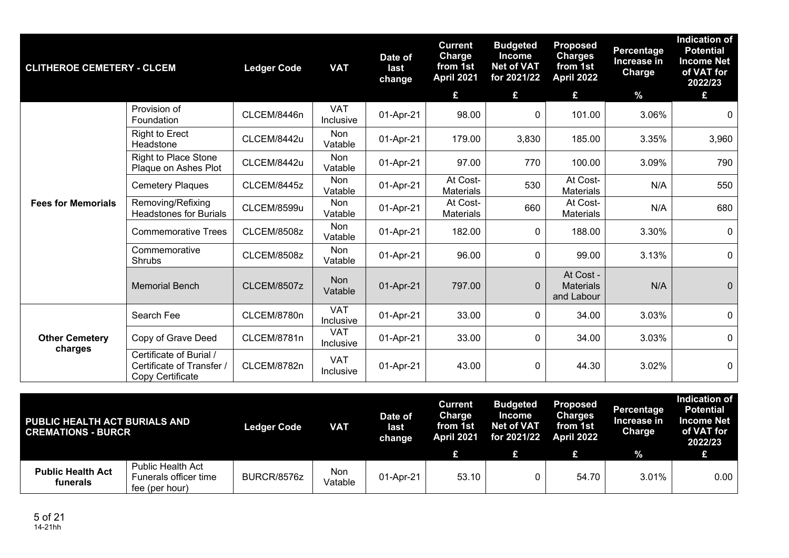| <b>CLITHEROE CEMETERY - CLCEM</b> |                                                                          | <b>Ledger Code</b> | <b>VAT</b>              | Date of<br>last<br>change | <b>Current</b><br><b>Charge</b><br>from 1st<br>April 2021<br>£ | <b>Budgeted</b><br><b>Income</b><br><b>Net of VAT</b><br>for 2021/22<br>£ | <b>Proposed</b><br><b>Charges</b><br>from 1st<br>April 2022<br>£ | <b>Percentage</b><br>Increase in<br>Charge<br>$\frac{9}{6}$ | <b>Indication of</b><br><b>Potential</b><br><b>Income Net</b><br>of VAT for<br>2022/23<br>£ |
|-----------------------------------|--------------------------------------------------------------------------|--------------------|-------------------------|---------------------------|----------------------------------------------------------------|---------------------------------------------------------------------------|------------------------------------------------------------------|-------------------------------------------------------------|---------------------------------------------------------------------------------------------|
|                                   | Provision of<br>Foundation                                               | CLCEM/8446n        | <b>VAT</b><br>Inclusive | 01-Apr-21                 | 98.00                                                          | 0                                                                         | 101.00                                                           | 3.06%                                                       | $\mathbf 0$                                                                                 |
|                                   | <b>Right to Erect</b><br>Headstone                                       | CLCEM/8442u        | Non<br>Vatable          | 01-Apr-21                 | 179.00                                                         | 3,830                                                                     | 185.00                                                           | 3.35%                                                       | 3,960                                                                                       |
|                                   | <b>Right to Place Stone</b><br>Plaque on Ashes Plot                      | CLCEM/8442u        | Non<br>Vatable          | 01-Apr-21                 | 97.00                                                          | 770                                                                       | 100.00                                                           | 3.09%                                                       | 790                                                                                         |
|                                   | <b>Cemetery Plaques</b>                                                  | CLCEM/8445z        | Non<br>Vatable          | 01-Apr-21                 | At Cost-<br><b>Materials</b>                                   | 530                                                                       | At Cost-<br><b>Materials</b>                                     | N/A                                                         | 550                                                                                         |
| <b>Fees for Memorials</b>         | Removing/Refixing<br><b>Headstones for Burials</b>                       | CLCEM/8599u        | Non<br>Vatable          | 01-Apr-21                 | At Cost-<br><b>Materials</b>                                   | 660                                                                       | At Cost-<br><b>Materials</b>                                     | N/A                                                         | 680                                                                                         |
|                                   | <b>Commemorative Trees</b>                                               | CLCEM/8508z        | Non<br>Vatable          | 01-Apr-21                 | 182.00                                                         | 0                                                                         | 188.00                                                           | 3.30%                                                       | $\mathbf 0$                                                                                 |
|                                   | Commemorative<br><b>Shrubs</b>                                           | CLCEM/8508z        | Non<br>Vatable          | 01-Apr-21                 | 96.00                                                          | $\mathbf 0$                                                               | 99.00                                                            | 3.13%                                                       | $\mathbf 0$                                                                                 |
|                                   | <b>Memorial Bench</b>                                                    | <b>CLCEM/8507z</b> | Non<br>Vatable          | 01-Apr-21                 | 797.00                                                         | $\overline{0}$                                                            | At Cost -<br><b>Materials</b><br>and Labour                      | N/A                                                         | $\overline{0}$                                                                              |
|                                   | Search Fee                                                               | CLCEM/8780n        | <b>VAT</b><br>Inclusive | 01-Apr-21                 | 33.00                                                          | $\Omega$                                                                  | 34.00                                                            | 3.03%                                                       | $\mathbf 0$                                                                                 |
| <b>Other Cemetery</b><br>charges  | Copy of Grave Deed                                                       | CLCEM/8781n        | <b>VAT</b><br>Inclusive | 01-Apr-21                 | 33.00                                                          | 0                                                                         | 34.00                                                            | 3.03%                                                       | $\overline{0}$                                                                              |
|                                   | Certificate of Burial /<br>Certificate of Transfer /<br>Copy Certificate | CLCEM/8782n        | <b>VAT</b><br>Inclusive | 01-Apr-21                 | 43.00                                                          | 0                                                                         | 44.30                                                            | 3.02%                                                       | $\mathbf 0$                                                                                 |

| PUBLIC HEALTH ACT BURIALS AND<br><b>CREMATIONS - BURCR</b> |                                                                     | <b>Ledger Code</b> | <b>VAT</b>            | Date of<br>last<br>change | <b>Current</b><br>Charge<br>from 1st<br><b>April 2021</b> | <b>Budgeted</b><br>Income<br><b>Net of VAT</b><br>for 2021/22 | <b>Proposed</b><br><b>Charges</b><br>from 1st<br><b>April 2022</b> | Percentage<br>Increase in<br>Charge | <b>Indication of</b><br><b>Potential</b><br><b>Income Net</b><br>of VAT for<br>2022/23 |
|------------------------------------------------------------|---------------------------------------------------------------------|--------------------|-----------------------|---------------------------|-----------------------------------------------------------|---------------------------------------------------------------|--------------------------------------------------------------------|-------------------------------------|----------------------------------------------------------------------------------------|
|                                                            |                                                                     |                    |                       |                           |                                                           |                                                               |                                                                    | $\frac{9}{6}$                       | £                                                                                      |
| <b>Public Health Act</b><br>funerals                       | <b>Public Health Act</b><br>Funerals officer time<br>fee (per hour) | BURCR/8576z        | <b>Non</b><br>Vatable | 01-Apr-21                 | 53.10                                                     |                                                               | 54.70                                                              | $3.01\%$                            | 0.00                                                                                   |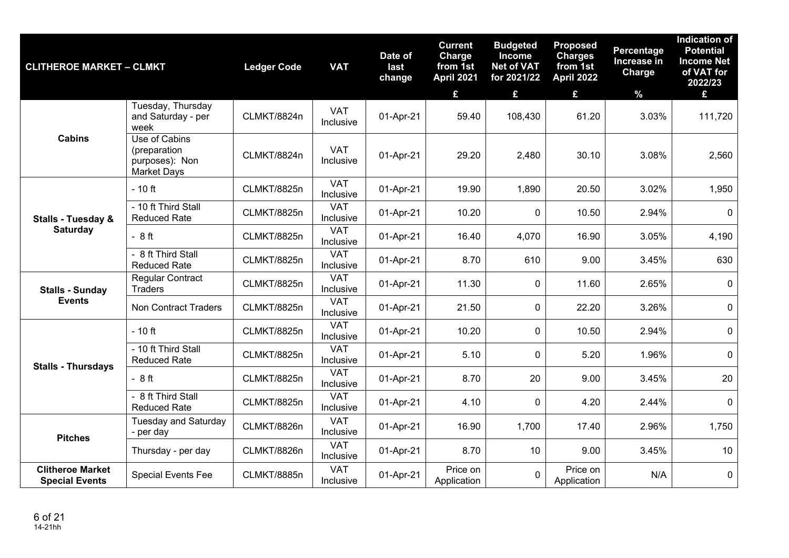| <b>CLITHEROE MARKET - CLMKT</b>                  |                                                                       | <b>Ledger Code</b> | <b>VAT</b>              | Date of<br>last<br>change | <b>Current</b><br>Charge<br>from 1st<br><b>April 2021</b><br>£ | <b>Budgeted</b><br><b>Income</b><br><b>Net of VAT</b><br>for 2021/22<br>£ | <b>Proposed</b><br><b>Charges</b><br>from 1st<br><b>April 2022</b><br>£ | Percentage<br>Increase in<br>Charge<br>$\%$ | <b>Indication of</b><br><b>Potential</b><br><b>Income Net</b><br>of VAT for<br>2022/23<br>£ |
|--------------------------------------------------|-----------------------------------------------------------------------|--------------------|-------------------------|---------------------------|----------------------------------------------------------------|---------------------------------------------------------------------------|-------------------------------------------------------------------------|---------------------------------------------|---------------------------------------------------------------------------------------------|
|                                                  | Tuesday, Thursday<br>and Saturday - per<br>week                       | CLMKT/8824n        | <b>VAT</b><br>Inclusive | 01-Apr-21                 | 59.40                                                          | 108,430                                                                   | 61.20                                                                   | 3.03%                                       | 111,720                                                                                     |
| <b>Cabins</b>                                    | Use of Cabins<br>(preparation<br>purposes): Non<br><b>Market Days</b> | CLMKT/8824n        | <b>VAT</b><br>Inclusive | 01-Apr-21                 | 29.20                                                          | 2,480                                                                     | 30.10                                                                   | 3.08%                                       | 2,560                                                                                       |
|                                                  | $-10$ ft                                                              | CLMKT/8825n        | <b>VAT</b><br>Inclusive | 01-Apr-21                 | 19.90                                                          | 1,890                                                                     | 20.50                                                                   | 3.02%                                       | 1,950                                                                                       |
| <b>Stalls - Tuesday &amp;</b>                    | - 10 ft Third Stall<br><b>Reduced Rate</b>                            | CLMKT/8825n        | <b>VAT</b><br>Inclusive | 01-Apr-21                 | 10.20                                                          | 0                                                                         | 10.50                                                                   | 2.94%                                       | $\mathbf 0$                                                                                 |
| <b>Saturday</b>                                  | $-8ft$                                                                | CLMKT/8825n        | <b>VAT</b><br>Inclusive | 01-Apr-21                 | 16.40                                                          | 4,070                                                                     | 16.90                                                                   | 3.05%                                       | 4,190                                                                                       |
|                                                  | - 8 ft Third Stall<br><b>Reduced Rate</b>                             | CLMKT/8825n        | <b>VAT</b><br>Inclusive | 01-Apr-21                 | 8.70                                                           | 610                                                                       | 9.00                                                                    | 3.45%                                       | 630                                                                                         |
| <b>Stalls - Sunday</b>                           | Regular Contract<br><b>Traders</b>                                    | CLMKT/8825n        | <b>VAT</b><br>Inclusive | 01-Apr-21                 | 11.30                                                          | 0                                                                         | 11.60                                                                   | 2.65%                                       | $\mathbf 0$                                                                                 |
| <b>Events</b>                                    | <b>Non Contract Traders</b>                                           | CLMKT/8825n        | <b>VAT</b><br>Inclusive | 01-Apr-21                 | 21.50                                                          | $\overline{0}$                                                            | 22.20                                                                   | 3.26%                                       | $\mathbf 0$                                                                                 |
|                                                  | $-10$ ft                                                              | CLMKT/8825n        | <b>VAT</b><br>Inclusive | 01-Apr-21                 | 10.20                                                          | 0                                                                         | 10.50                                                                   | 2.94%                                       | $\mathbf{0}$                                                                                |
|                                                  | - 10 ft Third Stall<br><b>Reduced Rate</b>                            | CLMKT/8825n        | <b>VAT</b><br>Inclusive | 01-Apr-21                 | 5.10                                                           | 0                                                                         | 5.20                                                                    | 1.96%                                       | $\mathbf{0}$                                                                                |
| <b>Stalls - Thursdays</b>                        | $-8ft$                                                                | CLMKT/8825n        | <b>VAT</b><br>Inclusive | 01-Apr-21                 | 8.70                                                           | 20                                                                        | 9.00                                                                    | 3.45%                                       | 20                                                                                          |
|                                                  | - 8 ft Third Stall<br><b>Reduced Rate</b>                             | CLMKT/8825n        | <b>VAT</b><br>Inclusive | 01-Apr-21                 | 4.10                                                           | 0                                                                         | 4.20                                                                    | 2.44%                                       | $\mathbf 0$                                                                                 |
|                                                  | <b>Tuesday and Saturday</b><br>- per day                              | CLMKT/8826n        | <b>VAT</b><br>Inclusive | 01-Apr-21                 | 16.90                                                          | 1,700                                                                     | 17.40                                                                   | 2.96%                                       | 1,750                                                                                       |
| <b>Pitches</b>                                   | Thursday - per day                                                    | CLMKT/8826n        | <b>VAT</b><br>Inclusive | 01-Apr-21                 | 8.70                                                           | 10                                                                        | 9.00                                                                    | 3.45%                                       | 10                                                                                          |
| <b>Clitheroe Market</b><br><b>Special Events</b> | <b>Special Events Fee</b>                                             | <b>CLMKT/8885n</b> | <b>VAT</b><br>Inclusive | 01-Apr-21                 | Price on<br>Application                                        | $\Omega$                                                                  | Price on<br>Application                                                 | N/A                                         | $\mathbf 0$                                                                                 |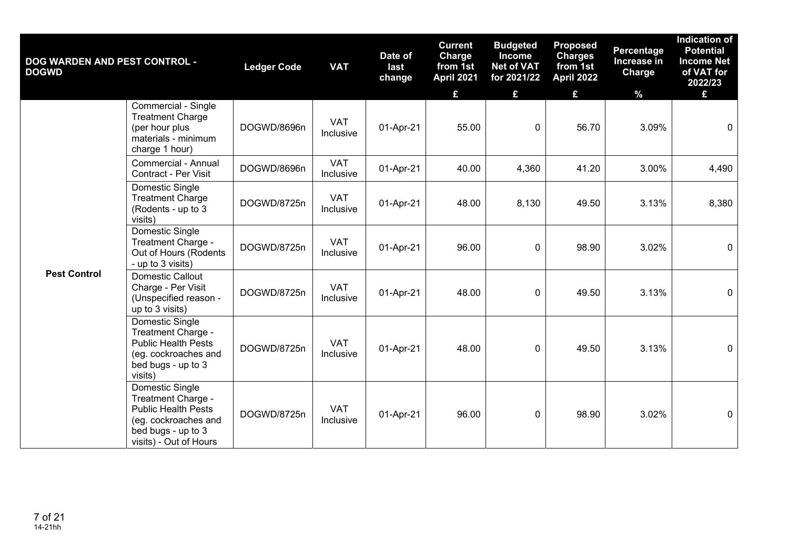| <b>DOG WARDEN AND PEST CONTROL -</b><br><b>DOGWD</b> |                                                                                                                                             | <b>Ledger Code</b> | <b>VAT</b>              | Date of<br>last<br>change | <b>Current</b><br>Charge<br>from 1st<br>April 2021 | <b>Budgeted</b><br><b>Income</b><br><b>Net of VAT</b><br>for 2021/22 | <b>Proposed</b><br><b>Charges</b><br>from 1st<br><b>April 2022</b> | Percentage<br>Increase in<br><b>Charge</b> | <b>Indication of</b><br><b>Potential</b><br><b>Income Net</b><br>of VAT for<br>2022/23 |
|------------------------------------------------------|---------------------------------------------------------------------------------------------------------------------------------------------|--------------------|-------------------------|---------------------------|----------------------------------------------------|----------------------------------------------------------------------|--------------------------------------------------------------------|--------------------------------------------|----------------------------------------------------------------------------------------|
|                                                      |                                                                                                                                             |                    |                         |                           | £                                                  | £                                                                    | £                                                                  | $\frac{9}{6}$                              | £                                                                                      |
|                                                      | Commercial - Single<br><b>Treatment Charge</b><br>(per hour plus<br>materials - minimum<br>charge 1 hour)                                   | DOGWD/8696n        | <b>VAT</b><br>Inclusive | 01-Apr-21                 | 55.00                                              | $\mathbf{0}$                                                         | 56.70                                                              | 3.09%                                      | $\mathbf 0$                                                                            |
|                                                      | Commercial - Annual<br>Contract - Per Visit                                                                                                 | DOGWD/8696n        | <b>VAT</b><br>Inclusive | 01-Apr-21                 | 40.00                                              | 4,360                                                                | 41.20                                                              | 3.00%                                      | 4,490                                                                                  |
| <b>Pest Control</b>                                  | Domestic Single<br><b>Treatment Charge</b><br>(Rodents - up to 3<br>visits)                                                                 | DOGWD/8725n        | <b>VAT</b><br>Inclusive | 01-Apr-21                 | 48.00                                              | 8,130                                                                | 49.50                                                              | 3.13%                                      | 8,380                                                                                  |
|                                                      | Domestic Single<br>Treatment Charge -<br>Out of Hours (Rodents<br>- up to 3 visits)                                                         | DOGWD/8725n        | <b>VAT</b><br>Inclusive | 01-Apr-21                 | 96.00                                              | $\mathbf 0$                                                          | 98.90                                                              | 3.02%                                      | $\mathbf 0$                                                                            |
|                                                      | Domestic Callout<br>Charge - Per Visit<br>(Unspecified reason -<br>up to 3 visits)                                                          | DOGWD/8725n        | <b>VAT</b><br>Inclusive | 01-Apr-21                 | 48.00                                              | $\mathbf 0$                                                          | 49.50                                                              | 3.13%                                      | $\mathbf 0$                                                                            |
|                                                      | Domestic Single<br>Treatment Charge -<br><b>Public Health Pests</b><br>(eg. cockroaches and<br>bed bugs - up to 3<br>visits)                | DOGWD/8725n        | <b>VAT</b><br>Inclusive | 01-Apr-21                 | 48.00                                              | $\mathbf 0$                                                          | 49.50                                                              | 3.13%                                      | $\mathbf 0$                                                                            |
|                                                      | Domestic Single<br>Treatment Charge -<br><b>Public Health Pests</b><br>(eg. cockroaches and<br>bed bugs - up to 3<br>visits) - Out of Hours | DOGWD/8725n        | <b>VAT</b><br>Inclusive | 01-Apr-21                 | 96.00                                              | 0                                                                    | 98.90                                                              | 3.02%                                      | $\mathbf 0$                                                                            |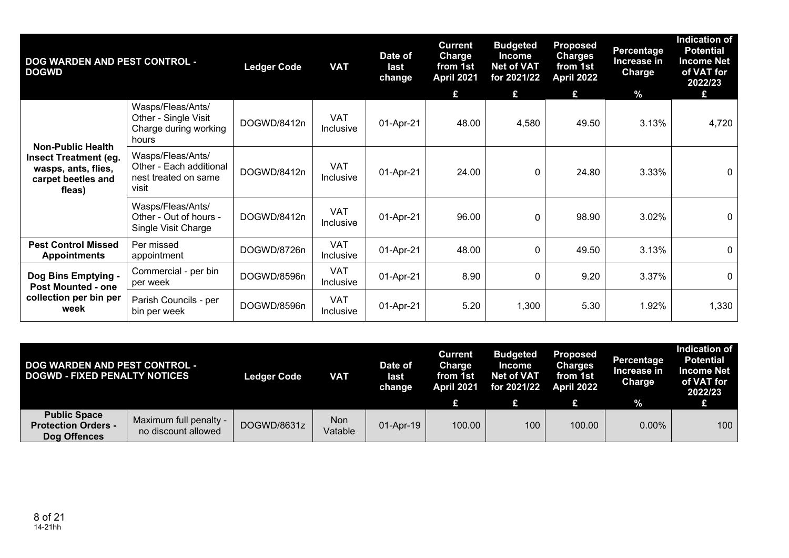| <b>DOG WARDEN AND PEST CONTROL -</b><br><b>DOGWD</b>                                                            |                                                                               | <b>Ledger Code</b> | <b>VAT</b>              | Date of<br>last<br>change | <b>Current</b><br><b>Charge</b><br>from 1st<br><b>April 2021</b><br>£ | <b>Budgeted</b><br><b>Income</b><br><b>Net of VAT</b><br>for 2021/22<br>£ | <b>Proposed</b><br><b>Charges</b><br>from 1st<br>April 2022<br>£ | <b>Percentage</b><br>Increase in<br><b>Charge</b><br>$\frac{9}{6}$ | <b>Indication of</b><br><b>Potential</b><br><b>Income Net</b><br>of VAT for<br>2022/23<br>£ |
|-----------------------------------------------------------------------------------------------------------------|-------------------------------------------------------------------------------|--------------------|-------------------------|---------------------------|-----------------------------------------------------------------------|---------------------------------------------------------------------------|------------------------------------------------------------------|--------------------------------------------------------------------|---------------------------------------------------------------------------------------------|
|                                                                                                                 | Wasps/Fleas/Ants/<br>Other - Single Visit<br>Charge during working<br>hours   | DOGWD/8412n        | <b>VAT</b><br>Inclusive | 01-Apr-21                 | 48.00                                                                 | 4,580                                                                     | 49.50                                                            | 3.13%                                                              | 4,720                                                                                       |
| <b>Non-Public Health</b><br><b>Insect Treatment (eg.</b><br>wasps, ants, flies,<br>carpet beetles and<br>fleas) | Wasps/Fleas/Ants/<br>Other - Each additional<br>nest treated on same<br>visit | DOGWD/8412n        | <b>VAT</b><br>Inclusive | 01-Apr-21                 | 24.00                                                                 | 0                                                                         | 24.80                                                            | 3.33%                                                              | $\mathbf 0$                                                                                 |
|                                                                                                                 | Wasps/Fleas/Ants/<br>Other - Out of hours -<br>Single Visit Charge            | DOGWD/8412n        | <b>VAT</b><br>Inclusive | 01-Apr-21                 | 96.00                                                                 | 0                                                                         | 98.90                                                            | 3.02%                                                              | 0                                                                                           |
| <b>Pest Control Missed</b><br><b>Appointments</b>                                                               | Per missed<br>appointment                                                     | DOGWD/8726n        | <b>VAT</b><br>Inclusive | 01-Apr-21                 | 48.00                                                                 | $\Omega$                                                                  | 49.50                                                            | 3.13%                                                              | $\mathbf 0$                                                                                 |
| Dog Bins Emptying -<br><b>Post Mounted - one</b>                                                                | Commercial - per bin<br>per week                                              | DOGWD/8596n        | <b>VAT</b><br>Inclusive | 01-Apr-21                 | 8.90                                                                  | 0                                                                         | 9.20                                                             | 3.37%                                                              | 0                                                                                           |
| collection per bin per<br>week                                                                                  | Parish Councils - per<br>bin per week                                         | DOGWD/8596n        | <b>VAT</b><br>Inclusive | 01-Apr-21                 | 5.20                                                                  | 1,300                                                                     | 5.30                                                             | 1.92%                                                              | 1,330                                                                                       |

| <b>DOG WARDEN AND PEST CONTROL -</b><br><b>DOGWD - FIXED PENALTY NOTICES</b> |                                               | <b>Ledger Code</b> | VAT            | Date of<br>last<br>change | <b>Current</b><br>Charge<br>from 1st<br><b>April 2021</b> | <b>Budgeted</b><br>Income<br><b>Net of VAT</b><br>for 2021/22 | <b>Proposed</b><br><b>Charges</b><br>from 1st<br><b>April 2022</b> | Percentage<br>Increase in<br><b>Charge</b> | Indication of<br><b>Potential</b><br><b>Income Net</b><br>of VAT for<br>2022/23 |
|------------------------------------------------------------------------------|-----------------------------------------------|--------------------|----------------|---------------------------|-----------------------------------------------------------|---------------------------------------------------------------|--------------------------------------------------------------------|--------------------------------------------|---------------------------------------------------------------------------------|
|                                                                              |                                               |                    |                |                           |                                                           |                                                               |                                                                    | $\frac{9}{6}$                              |                                                                                 |
| <b>Public Space</b><br><b>Protection Orders -</b><br>Dog Offences            | Maximum full penalty -<br>no discount allowed | DOGWD/8631z        | Non<br>Vatable | 01-Apr-19                 | 100.00                                                    | 100                                                           | 100.00                                                             | $0.00\%$                                   | 100                                                                             |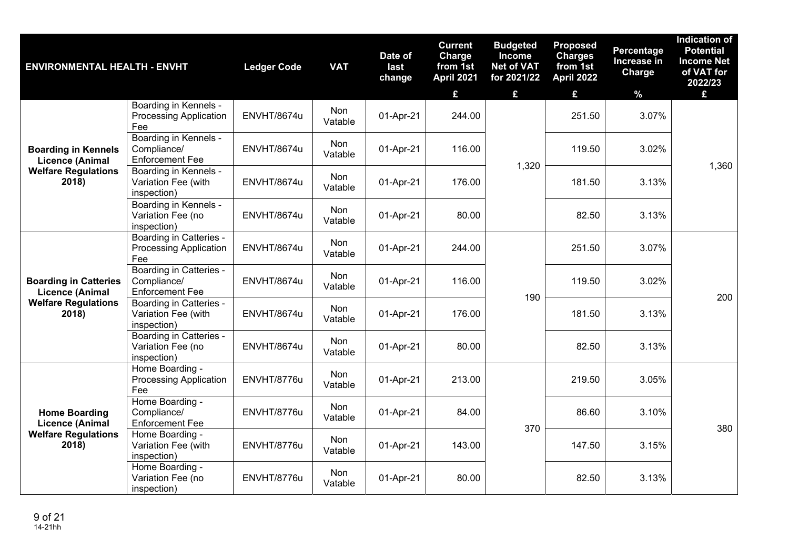| <b>ENVIRONMENTAL HEALTH - ENVHT</b>                                                   |                                                                        | <b>Ledger Code</b> | <b>VAT</b>     | Date of<br>last<br>change | <b>Current</b><br>Charge<br>from 1st<br>April 2021<br>£ | <b>Budgeted</b><br><b>Income</b><br><b>Net of VAT</b><br>for 2021/22<br>£ | <b>Proposed</b><br><b>Charges</b><br>from 1st<br><b>April 2022</b><br>£ | Percentage<br>Increase in<br>Charge<br>$\%$ | <b>Indication of</b><br><b>Potential</b><br><b>Income Net</b><br>of VAT for<br>2022/23<br>£ |
|---------------------------------------------------------------------------------------|------------------------------------------------------------------------|--------------------|----------------|---------------------------|---------------------------------------------------------|---------------------------------------------------------------------------|-------------------------------------------------------------------------|---------------------------------------------|---------------------------------------------------------------------------------------------|
|                                                                                       | Boarding in Kennels -<br><b>Processing Application</b><br>Fee          | ENVHT/8674u        | Non<br>Vatable | 01-Apr-21                 | 244.00                                                  |                                                                           | 251.50                                                                  | 3.07%                                       |                                                                                             |
| <b>Boarding in Kennels</b><br><b>Licence (Animal</b>                                  | Boarding in Kennels -<br>Compliance/<br><b>Enforcement Fee</b>         | ENVHT/8674u        | Non<br>Vatable | 01-Apr-21                 | 116.00                                                  | 1,320                                                                     | 119.50                                                                  | 3.02%                                       | 1,360                                                                                       |
| <b>Welfare Regulations</b><br>2018)                                                   | Boarding in Kennels -<br>Variation Fee (with<br>inspection)            | ENVHT/8674u        | Non<br>Vatable | 01-Apr-21                 | 176.00                                                  |                                                                           | 181.50                                                                  | 3.13%                                       |                                                                                             |
|                                                                                       | Boarding in Kennels -<br>Variation Fee (no<br>inspection)              | ENVHT/8674u        | Non<br>Vatable | 01-Apr-21                 | 80.00                                                   |                                                                           | 82.50                                                                   | 3.13%                                       |                                                                                             |
|                                                                                       | <b>Boarding in Catteries -</b><br><b>Processing Application</b><br>Fee | ENVHT/8674u        | Non<br>Vatable | 01-Apr-21                 | 244.00                                                  |                                                                           | 251.50                                                                  | 3.07%                                       |                                                                                             |
| <b>Boarding in Catteries</b><br><b>Licence (Animal</b>                                | Boarding in Catteries -<br>Compliance/<br><b>Enforcement Fee</b>       | ENVHT/8674u        | Non<br>Vatable | 01-Apr-21                 | 116.00                                                  | 190                                                                       | 119.50                                                                  | 3.02%                                       | 200                                                                                         |
| <b>Welfare Regulations</b><br>2018)                                                   | Boarding in Catteries -<br>Variation Fee (with<br>inspection)          | ENVHT/8674u        | Non<br>Vatable | 01-Apr-21                 | 176.00                                                  |                                                                           | 181.50                                                                  | 3.13%                                       |                                                                                             |
|                                                                                       | Boarding in Catteries -<br>Variation Fee (no<br>inspection)            | ENVHT/8674u        | Non<br>Vatable | 01-Apr-21                 | 80.00                                                   |                                                                           | 82.50                                                                   | 3.13%                                       |                                                                                             |
|                                                                                       | Home Boarding -<br><b>Processing Application</b><br>Fee                | ENVHT/8776u        | Non<br>Vatable | 01-Apr-21                 | 213.00                                                  |                                                                           | 219.50                                                                  | 3.05%                                       |                                                                                             |
| <b>Home Boarding</b><br><b>Licence (Animal</b><br><b>Welfare Regulations</b><br>2018) | Home Boarding -<br>Compliance/<br><b>Enforcement Fee</b>               | ENVHT/8776u        | Non<br>Vatable | 01-Apr-21                 | 84.00                                                   | 370                                                                       | 86.60                                                                   | 3.10%                                       | 380                                                                                         |
|                                                                                       | Home Boarding -<br>Variation Fee (with<br>inspection)                  | ENVHT/8776u        | Non<br>Vatable | 01-Apr-21                 | 143.00                                                  |                                                                           | 147.50                                                                  | 3.15%                                       |                                                                                             |
|                                                                                       | Home Boarding -<br>Variation Fee (no<br>inspection)                    | ENVHT/8776u        | Non<br>Vatable | 01-Apr-21                 | 80.00                                                   |                                                                           | 82.50                                                                   | 3.13%                                       |                                                                                             |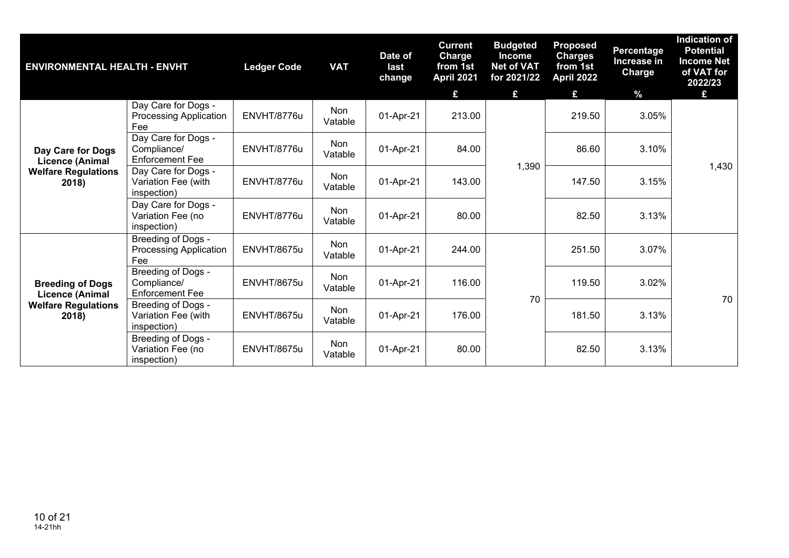| <b>ENVIRONMENTAL HEALTH - ENVHT</b>                                                      |                                                              | <b>Ledger Code</b> | <b>VAT</b>            | Date of<br>last<br>change | <b>Current</b><br><b>Charge</b><br>from 1st<br><b>April 2021</b> | <b>Budgeted</b><br><b>Income</b><br><b>Net of VAT</b><br>for 2021/22 | <b>Proposed</b><br><b>Charges</b><br>from 1st<br>April 2022 | <b>Percentage</b><br>Increase in<br>Charge | <b>Indication of</b><br><b>Potential</b><br><b>Income Net</b><br>of VAT for<br>2022/23 |
|------------------------------------------------------------------------------------------|--------------------------------------------------------------|--------------------|-----------------------|---------------------------|------------------------------------------------------------------|----------------------------------------------------------------------|-------------------------------------------------------------|--------------------------------------------|----------------------------------------------------------------------------------------|
|                                                                                          |                                                              |                    |                       |                           | £                                                                | £                                                                    | £                                                           | $\%$                                       | £                                                                                      |
|                                                                                          | Day Care for Dogs -<br><b>Processing Application</b><br>Fee  | ENVHT/8776u        | <b>Non</b><br>Vatable | 01-Apr-21                 | 213.00                                                           |                                                                      | 219.50                                                      | 3.05%                                      |                                                                                        |
| Day Care for Dogs<br><b>Licence (Animal</b>                                              | Day Care for Dogs -<br>Compliance/<br><b>Enforcement Fee</b> | ENVHT/8776u        | Non<br>Vatable        | 01-Apr-21                 | 84.00                                                            |                                                                      | 86.60                                                       | 3.10%                                      |                                                                                        |
| <b>Welfare Regulations</b><br>2018)                                                      | Day Care for Dogs -<br>Variation Fee (with<br>inspection)    | ENVHT/8776u        | Non<br>Vatable        | 01-Apr-21                 | 143.00                                                           | 1,390                                                                | 147.50                                                      | 3.15%                                      | 1,430                                                                                  |
|                                                                                          | Day Care for Dogs -<br>Variation Fee (no<br>inspection)      | ENVHT/8776u        | Non<br>Vatable        | 01-Apr-21                 | 80.00                                                            |                                                                      | 82.50                                                       | 3.13%                                      |                                                                                        |
|                                                                                          | Breeding of Dogs -<br>Processing Application<br>Fee          | ENVHT/8675u        | <b>Non</b><br>Vatable | 01-Apr-21                 | 244.00                                                           |                                                                      | 251.50                                                      | 3.07%                                      |                                                                                        |
| <b>Breeding of Dogs</b><br><b>Licence (Animal</b><br><b>Welfare Regulations</b><br>2018) | Breeding of Dogs -<br>Compliance/<br><b>Enforcement Fee</b>  | ENVHT/8675u        | Non<br>Vatable        | 01-Apr-21                 | 116.00                                                           |                                                                      | 119.50                                                      | 3.02%                                      |                                                                                        |
|                                                                                          | Breeding of Dogs -<br>Variation Fee (with<br>inspection)     | ENVHT/8675u        | <b>Non</b><br>Vatable | 01-Apr-21                 | 176.00                                                           | 70                                                                   | 181.50                                                      | 3.13%                                      | 70                                                                                     |
|                                                                                          | Breeding of Dogs -<br>Variation Fee (no<br>inspection)       | ENVHT/8675u        | Non<br>Vatable        | 01-Apr-21                 | 80.00                                                            |                                                                      | 82.50                                                       | 3.13%                                      |                                                                                        |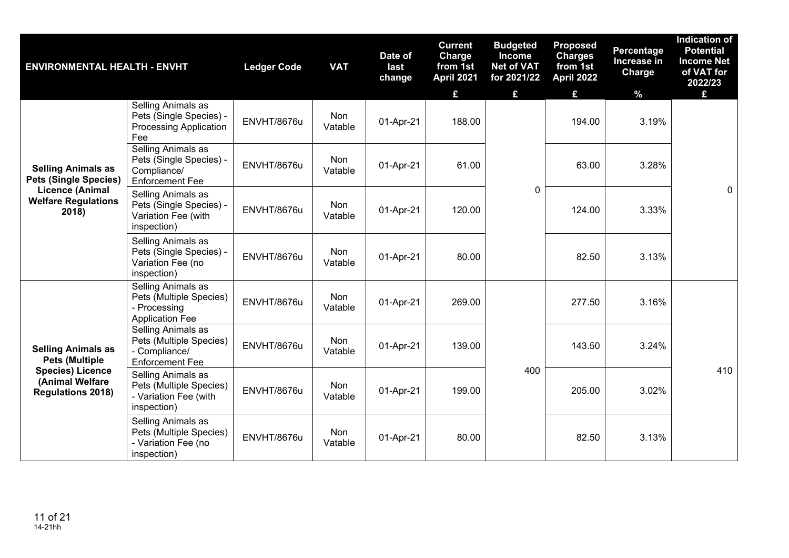| <b>ENVIRONMENTAL HEALTH - ENVHT</b>                                                                                          |                                                                                          | <b>Ledger Code</b> | <b>VAT</b>     | Date of<br>last<br>change | <b>Current</b><br>Charge<br>from 1st<br><b>April 2021</b><br>£ | <b>Budgeted</b><br><b>Income</b><br><b>Net of VAT</b><br>for 2021/22<br>£ | <b>Proposed</b><br><b>Charges</b><br>from 1st<br><b>April 2022</b><br>£ | Percentage<br>Increase in<br>Charge<br>$\%$ | Indication of<br><b>Potential</b><br><b>Income Net</b><br>of VAT for<br>2022/23<br>£ |
|------------------------------------------------------------------------------------------------------------------------------|------------------------------------------------------------------------------------------|--------------------|----------------|---------------------------|----------------------------------------------------------------|---------------------------------------------------------------------------|-------------------------------------------------------------------------|---------------------------------------------|--------------------------------------------------------------------------------------|
|                                                                                                                              | Selling Animals as<br>Pets (Single Species) -<br><b>Processing Application</b><br>Fee    | ENVHT/8676u        | Non<br>Vatable | 01-Apr-21                 | 188.00                                                         |                                                                           | 194.00                                                                  | 3.19%                                       |                                                                                      |
| <b>Selling Animals as</b><br><b>Pets (Single Species)</b>                                                                    | Selling Animals as<br>Pets (Single Species) -<br>Compliance/<br><b>Enforcement Fee</b>   | ENVHT/8676u        | Non<br>Vatable | 01-Apr-21                 | 61.00                                                          |                                                                           | 63.00                                                                   | 3.28%                                       |                                                                                      |
| <b>Licence (Animal</b><br><b>Welfare Regulations</b><br>2018)                                                                | Selling Animals as<br>Pets (Single Species) -<br>Variation Fee (with<br>inspection)      | ENVHT/8676u        | Non<br>Vatable | 01-Apr-21                 | 120.00                                                         | 0                                                                         | 124.00                                                                  | 3.33%                                       | $\mathbf 0$                                                                          |
|                                                                                                                              | Selling Animals as<br>Pets (Single Species) -<br>Variation Fee (no<br>inspection)        | ENVHT/8676u        | Non<br>Vatable | 01-Apr-21                 | 80.00                                                          |                                                                           | 82.50                                                                   | 3.13%                                       |                                                                                      |
| <b>Selling Animals as</b><br><b>Pets (Multiple</b><br><b>Species) Licence</b><br>(Animal Welfare<br><b>Regulations 2018)</b> | Selling Animals as<br>Pets (Multiple Species)<br>- Processing<br><b>Application Fee</b>  | ENVHT/8676u        | Non<br>Vatable | 01-Apr-21                 | 269.00                                                         |                                                                           | 277.50                                                                  | 3.16%                                       |                                                                                      |
|                                                                                                                              | Selling Animals as<br>Pets (Multiple Species)<br>- Compliance/<br><b>Enforcement Fee</b> | ENVHT/8676u        | Non<br>Vatable | 01-Apr-21                 | 139.00                                                         |                                                                           | 143.50                                                                  | 3.24%                                       |                                                                                      |
|                                                                                                                              | Selling Animals as<br>Pets (Multiple Species)<br>- Variation Fee (with<br>inspection)    | ENVHT/8676u        | Non<br>Vatable | 01-Apr-21                 | 199.00                                                         | 400                                                                       | 205.00                                                                  | 3.02%                                       | 410                                                                                  |
|                                                                                                                              | Selling Animals as<br>Pets (Multiple Species)<br>- Variation Fee (no<br>inspection)      | ENVHT/8676u        | Non<br>Vatable | 01-Apr-21                 | 80.00                                                          |                                                                           | 82.50                                                                   | 3.13%                                       |                                                                                      |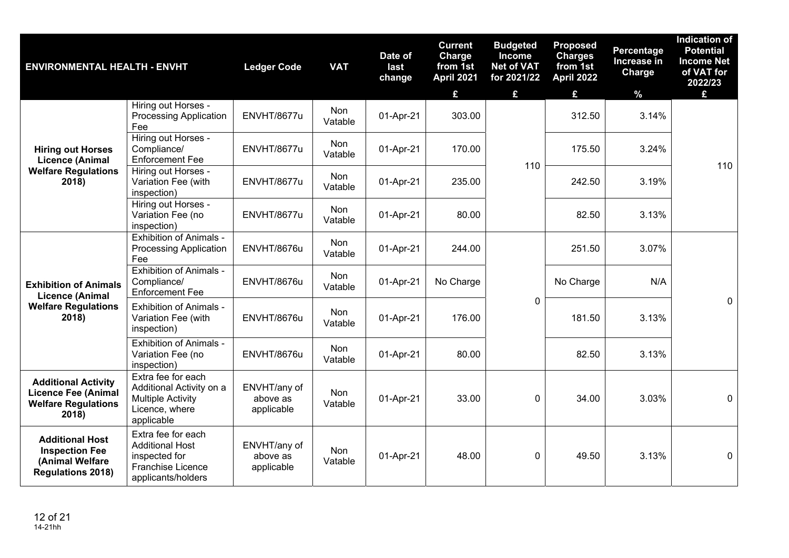| <b>ENVIRONMENTAL HEALTH - ENVHT</b>                                                             |                                                                                                            | <b>Ledger Code</b>                     | <b>VAT</b>            | Date of<br>last<br>change | <b>Current</b><br>Charge<br>from 1st<br><b>April 2021</b><br>£ | <b>Budgeted</b><br><b>Income</b><br><b>Net of VAT</b><br>for 2021/22<br>£ | <b>Proposed</b><br><b>Charges</b><br>from 1st<br><b>April 2022</b><br>£ | Percentage<br>Increase in<br>Charge<br>$\%$ | <b>Indication of</b><br><b>Potential</b><br><b>Income Net</b><br>of VAT for<br>2022/23<br>£. |
|-------------------------------------------------------------------------------------------------|------------------------------------------------------------------------------------------------------------|----------------------------------------|-----------------------|---------------------------|----------------------------------------------------------------|---------------------------------------------------------------------------|-------------------------------------------------------------------------|---------------------------------------------|----------------------------------------------------------------------------------------------|
|                                                                                                 | Hiring out Horses -<br><b>Processing Application</b><br>Fee                                                | ENVHT/8677u                            | Non<br>Vatable        | 01-Apr-21                 | 303.00                                                         |                                                                           | 312.50                                                                  | 3.14%                                       |                                                                                              |
| <b>Hiring out Horses</b><br><b>Licence (Animal</b>                                              | Hiring out Horses -<br>Compliance/<br><b>Enforcement Fee</b>                                               | ENVHT/8677u                            | Non<br>Vatable        | 01-Apr-21                 | 170.00                                                         | 110                                                                       | 175.50                                                                  | 3.24%                                       | 110                                                                                          |
| <b>Welfare Regulations</b><br>2018)                                                             | Hiring out Horses -<br>Variation Fee (with<br>inspection)                                                  | ENVHT/8677u                            | Non<br>Vatable        | 01-Apr-21                 | 235.00                                                         |                                                                           | 242.50                                                                  | 3.19%                                       |                                                                                              |
|                                                                                                 | Hiring out Horses -<br>Variation Fee (no<br>inspection)                                                    | ENVHT/8677u                            | Non<br>Vatable        | 01-Apr-21                 | 80.00                                                          |                                                                           | 82.50                                                                   | 3.13%                                       |                                                                                              |
|                                                                                                 | <b>Exhibition of Animals -</b><br><b>Processing Application</b><br>Fee                                     | <b>ENVHT/8676u</b>                     | Non<br>Vatable        | 01-Apr-21                 | 244.00                                                         |                                                                           | 251.50                                                                  | 3.07%                                       |                                                                                              |
| <b>Exhibition of Animals</b><br><b>Licence (Animal</b>                                          | <b>Exhibition of Animals -</b><br>Compliance/<br><b>Enforcement Fee</b>                                    | ENVHT/8676u                            | Non<br>Vatable        | 01-Apr-21                 | No Charge                                                      |                                                                           | No Charge                                                               | N/A                                         |                                                                                              |
| <b>Welfare Regulations</b><br>2018)                                                             | <b>Exhibition of Animals -</b><br>Variation Fee (with<br>inspection)                                       | ENVHT/8676u                            | Non<br>Vatable        | 01-Apr-21                 | 176.00                                                         | $\Omega$                                                                  | 181.50                                                                  | 3.13%                                       | $\Omega$                                                                                     |
|                                                                                                 | <b>Exhibition of Animals -</b><br>Variation Fee (no<br>inspection)                                         | ENVHT/8676u                            | Non<br>Vatable        | 01-Apr-21                 | 80.00                                                          |                                                                           | 82.50                                                                   | 3.13%                                       |                                                                                              |
| <b>Additional Activity</b><br><b>Licence Fee (Animal</b><br><b>Welfare Regulations</b><br>2018) | Extra fee for each<br>Additional Activity on a<br><b>Multiple Activity</b><br>Licence, where<br>applicable | ENVHT/any of<br>above as<br>applicable | <b>Non</b><br>Vatable | 01-Apr-21                 | 33.00                                                          | $\Omega$                                                                  | 34.00                                                                   | 3.03%                                       | $\mathbf 0$                                                                                  |
| <b>Additional Host</b><br><b>Inspection Fee</b><br>(Animal Welfare<br><b>Regulations 2018)</b>  | Extra fee for each<br><b>Additional Host</b><br>inspected for<br>Franchise Licence<br>applicants/holders   | ENVHT/any of<br>above as<br>applicable | <b>Non</b><br>Vatable | 01-Apr-21                 | 48.00                                                          | $\mathbf 0$                                                               | 49.50                                                                   | 3.13%                                       | $\mathbf 0$                                                                                  |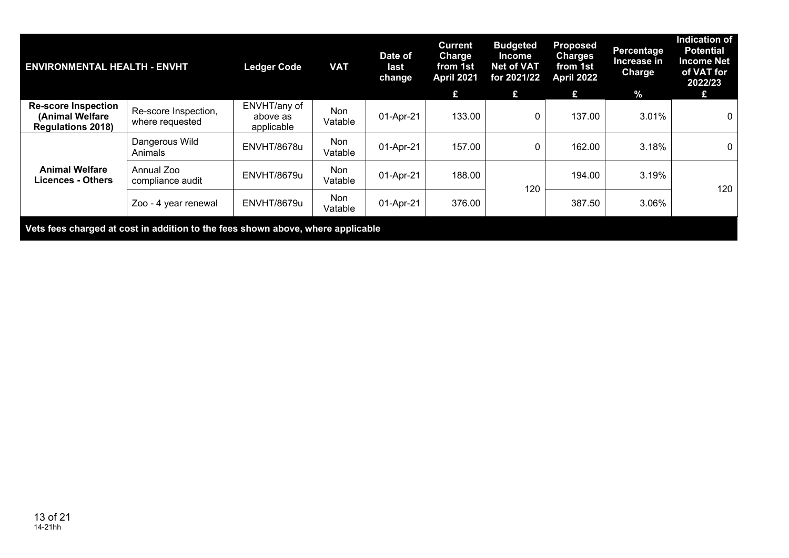| <b>ENVIRONMENTAL HEALTH - ENVHT</b>                                             |                                         | <b>Ledger Code</b>                     | <b>VAT</b>            | Date of<br>last<br>change | <b>Current</b><br><b>Charge</b><br>from 1st<br>April 2021<br>£ | <b>Budgeted</b><br><b>Income</b><br><b>Net of VAT</b><br>for 2021/22<br>£ | <b>Proposed</b><br><b>Charges</b><br>from 1st<br>April 2022<br>£. | Percentage<br>Increase in<br><b>Charge</b><br>$\frac{9}{6}$ | <b>Indication of</b><br><b>Potential</b><br><b>Income Net</b><br>of VAT for<br>2022/23 |
|---------------------------------------------------------------------------------|-----------------------------------------|----------------------------------------|-----------------------|---------------------------|----------------------------------------------------------------|---------------------------------------------------------------------------|-------------------------------------------------------------------|-------------------------------------------------------------|----------------------------------------------------------------------------------------|
| <b>Re-score Inspection</b><br>(Animal Welfare<br><b>Regulations 2018)</b>       | Re-score Inspection,<br>where requested | ENVHT/any of<br>above as<br>applicable | Non<br>Vatable        | 01-Apr-21                 | 133.00                                                         |                                                                           | 137.00                                                            | 3.01%                                                       | $\mathbf 0$                                                                            |
|                                                                                 | Dangerous Wild<br>Animals               | ENVHT/8678u                            | Non<br>Vatable        | 01-Apr-21                 | 157.00                                                         |                                                                           | 162.00                                                            | 3.18%                                                       | $\overline{0}$                                                                         |
| <b>Animal Welfare</b><br><b>Licences - Others</b>                               | Annual Zoo<br>compliance audit          | ENVHT/8679u                            | Non<br>Vatable        | 01-Apr-21                 | 188.00                                                         | 120                                                                       | 194.00                                                            | 3.19%                                                       | 120                                                                                    |
|                                                                                 | Zoo - 4 year renewal                    | ENVHT/8679u                            | <b>Non</b><br>Vatable | 01-Apr-21                 | 376.00                                                         |                                                                           | 387.50                                                            | 3.06%                                                       |                                                                                        |
| Vets fees charged at cost in addition to the fees shown above, where applicable |                                         |                                        |                       |                           |                                                                |                                                                           |                                                                   |                                                             |                                                                                        |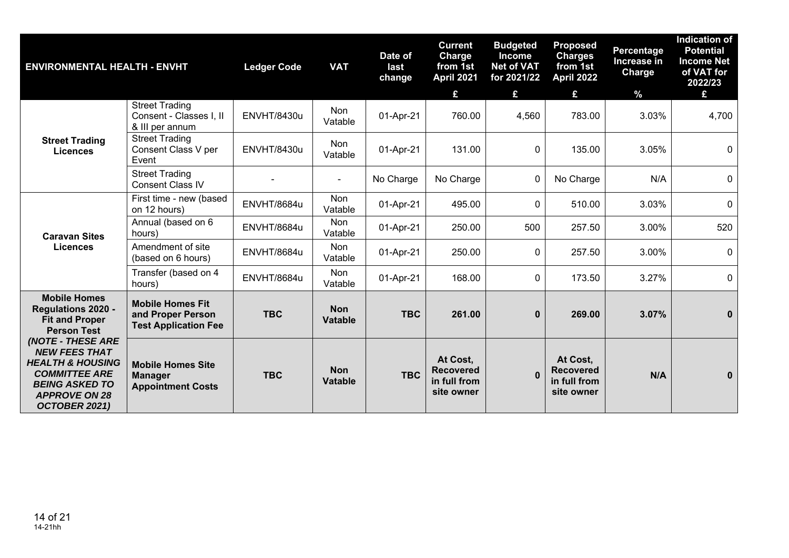| <b>ENVIRONMENTAL HEALTH - ENVHT</b>                                                                                                                                       |                                                                             | <b>Ledger Code</b> | <b>VAT</b>                   | Date of<br>last<br>change | <b>Current</b><br><b>Charge</b><br>from 1st<br><b>April 2021</b><br>£ | <b>Budgeted</b><br><b>Income</b><br><b>Net of VAT</b><br>for 2021/22<br>£ | <b>Proposed</b><br><b>Charges</b><br>from 1st<br><b>April 2022</b><br>£ | <b>Percentage</b><br>Increase in<br>Charge<br>$\%$ | <b>Indication of</b><br><b>Potential</b><br><b>Income Net</b><br>of VAT for<br>2022/23<br>£ |
|---------------------------------------------------------------------------------------------------------------------------------------------------------------------------|-----------------------------------------------------------------------------|--------------------|------------------------------|---------------------------|-----------------------------------------------------------------------|---------------------------------------------------------------------------|-------------------------------------------------------------------------|----------------------------------------------------|---------------------------------------------------------------------------------------------|
|                                                                                                                                                                           | <b>Street Trading</b><br>Consent - Classes I, II<br>& III per annum         | <b>ENVHT/8430u</b> | Non<br>Vatable               | 01-Apr-21                 | 760.00                                                                | 4,560                                                                     | 783.00                                                                  | 3.03%                                              | 4,700                                                                                       |
| <b>Street Trading</b><br><b>Licences</b>                                                                                                                                  | <b>Street Trading</b><br>Consent Class V per<br>Event                       | <b>ENVHT/8430u</b> | Non<br>Vatable               | 01-Apr-21                 | 131.00                                                                | $\mathbf{0}$                                                              | 135.00                                                                  | 3.05%                                              | $\mathbf 0$                                                                                 |
|                                                                                                                                                                           | <b>Street Trading</b><br><b>Consent Class IV</b>                            |                    | $\overline{a}$               | No Charge                 | No Charge                                                             | 0                                                                         | No Charge                                                               | N/A                                                | $\mathbf 0$                                                                                 |
|                                                                                                                                                                           | First time - new (based<br>on 12 hours)                                     | ENVHT/8684u        | Non<br>Vatable               | 01-Apr-21                 | 495.00                                                                | $\mathbf{0}$                                                              | 510.00                                                                  | 3.03%                                              | $\mathbf 0$                                                                                 |
| <b>Caravan Sites</b>                                                                                                                                                      | Annual (based on 6<br>hours)                                                | <b>ENVHT/8684u</b> | Non<br>Vatable               | 01-Apr-21                 | 250.00                                                                | 500                                                                       | 257.50                                                                  | 3.00%                                              | 520                                                                                         |
| <b>Licences</b>                                                                                                                                                           | Amendment of site<br>(based on 6 hours)                                     | <b>ENVHT/8684u</b> | <b>Non</b><br>Vatable        | 01-Apr-21                 | 250.00                                                                | $\mathbf{0}$                                                              | 257.50                                                                  | 3.00%                                              | $\mathbf 0$                                                                                 |
|                                                                                                                                                                           | Transfer (based on 4<br>hours)                                              | <b>ENVHT/8684u</b> | Non<br>Vatable               | 01-Apr-21                 | 168.00                                                                | $\mathbf 0$                                                               | 173.50                                                                  | 3.27%                                              | $\mathbf 0$                                                                                 |
| <b>Mobile Homes</b><br>Regulations 2020 -<br><b>Fit and Proper</b><br><b>Person Test</b>                                                                                  | <b>Mobile Homes Fit</b><br>and Proper Person<br><b>Test Application Fee</b> | <b>TBC</b>         | <b>Non</b><br><b>Vatable</b> | <b>TBC</b>                | 261.00                                                                | $\mathbf{0}$                                                              | 269.00                                                                  | 3.07%                                              | $\mathbf{0}$                                                                                |
| <b>(NOTE - THESE ARE</b><br><b>NEW FEES THAT</b><br><b>HEALTH &amp; HOUSING</b><br><b>COMMITTEE ARE</b><br><b>BEING ASKED TO</b><br><b>APPROVE ON 28</b><br>OCTOBER 2021) | <b>Mobile Homes Site</b><br><b>Manager</b><br><b>Appointment Costs</b>      | <b>TBC</b>         | <b>Non</b><br>Vatable        | <b>TBC</b>                | At Cost,<br><b>Recovered</b><br>in full from<br>site owner            |                                                                           | At Cost,<br><b>Recovered</b><br>in full from<br>site owner              | N/A                                                | $\mathbf{0}$                                                                                |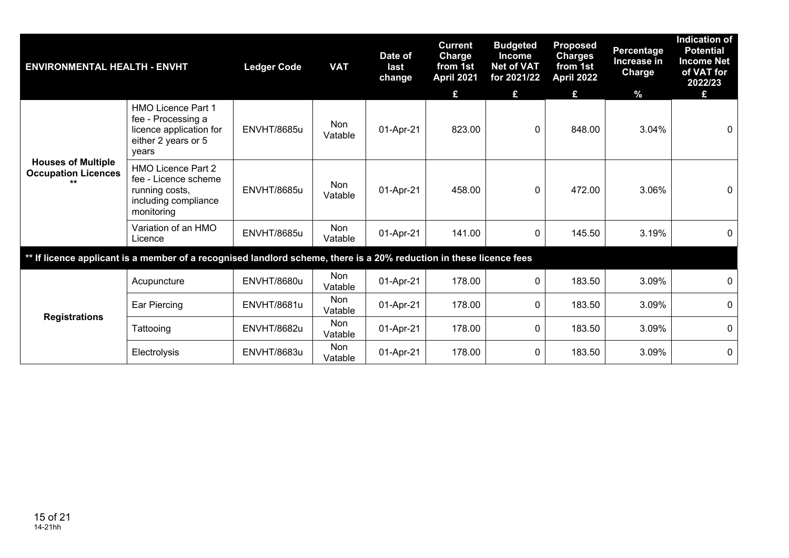| <b>ENVIRONMENTAL HEALTH - ENVHT</b> |                                                                                                                     | <b>Ledger Code</b> | <b>VAT</b>     | Date of<br>last<br>change | <b>Current</b><br><b>Charge</b><br>from 1st<br><b>April 2021</b><br>£ | <b>Budgeted</b><br><b>Income</b><br><b>Net of VAT</b><br>for 2021/22<br>£ | <b>Proposed</b><br><b>Charges</b><br>from 1st<br>April 2022<br>£ | <b>Percentage</b><br>Increase in<br>Charge<br>$\frac{9}{6}$ | <b>Indication of</b><br><b>Potential</b><br><b>Income Net</b><br>of VAT for<br>2022/23<br>£ |
|-------------------------------------|---------------------------------------------------------------------------------------------------------------------|--------------------|----------------|---------------------------|-----------------------------------------------------------------------|---------------------------------------------------------------------------|------------------------------------------------------------------|-------------------------------------------------------------|---------------------------------------------------------------------------------------------|
| years<br><b>Houses of Multiple</b>  | <b>HMO Licence Part 1</b><br>fee - Processing a<br>licence application for<br>either 2 years or 5                   | <b>ENVHT/8685u</b> | Non<br>Vatable | 01-Apr-21                 | 823.00                                                                | 0                                                                         | 848.00                                                           | 3.04%                                                       | $\mathbf 0$                                                                                 |
| <b>Occupation Licences</b><br>$***$ | HMO Licence Part 2<br>fee - Licence scheme<br>running costs,<br>including compliance<br>monitoring                  | <b>ENVHT/8685u</b> | Non<br>Vatable | 01-Apr-21                 | 458.00                                                                | 0                                                                         | 472.00                                                           | 3.06%                                                       | 0                                                                                           |
|                                     | Variation of an HMO<br>Licence                                                                                      | <b>ENVHT/8685u</b> | Non<br>Vatable | 01-Apr-21                 | 141.00                                                                | 0                                                                         | 145.50                                                           | 3.19%                                                       | $\Omega$                                                                                    |
|                                     | ** If licence applicant is a member of a recognised landlord scheme, there is a 20% reduction in these licence fees |                    |                |                           |                                                                       |                                                                           |                                                                  |                                                             |                                                                                             |
|                                     | Acupuncture                                                                                                         | <b>ENVHT/8680u</b> | Non<br>Vatable | 01-Apr-21                 | 178.00                                                                | 0                                                                         | 183.50                                                           | 3.09%                                                       | $\Omega$                                                                                    |
| <b>Registrations</b>                | Ear Piercing                                                                                                        | <b>ENVHT/8681u</b> | Non<br>Vatable | 01-Apr-21                 | 178.00                                                                | 0                                                                         | 183.50                                                           | 3.09%                                                       | 0                                                                                           |
|                                     | Tattooing                                                                                                           | <b>ENVHT/8682u</b> | Non<br>Vatable | 01-Apr-21                 | 178.00                                                                | 0                                                                         | 183.50                                                           | 3.09%                                                       | $\mathbf{0}$                                                                                |
|                                     | Electrolysis                                                                                                        | <b>ENVHT/8683u</b> | Non<br>Vatable | 01-Apr-21                 | 178.00                                                                | 0                                                                         | 183.50                                                           | 3.09%                                                       | $\mathbf 0$                                                                                 |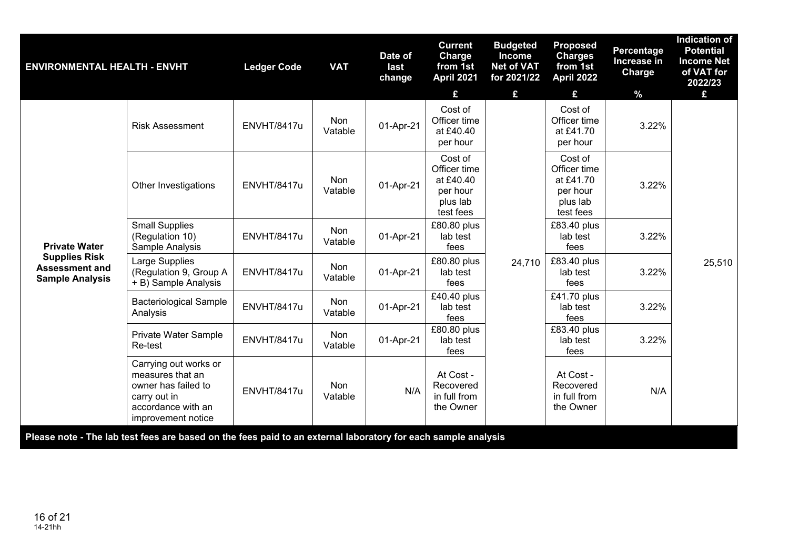| Cost of<br>Cost of<br>Non<br>Officer time<br>Officer time<br>01-Apr-21<br>ENVHT/8417u<br>3.22%<br><b>Risk Assessment</b><br>Vatable<br>at £40.40<br>at £41.70<br>per hour<br>per hour<br>Cost of<br>Cost of<br>Officer time<br>Officer time<br>Non<br>at £40.40<br>at £41.70<br>01-Apr-21<br>3.22%<br>ENVHT/8417u<br>Other Investigations<br>Vatable<br>per hour<br>per hour<br>plus lab<br>plus lab<br>test fees<br>test fees<br><b>Small Supplies</b><br>£80.80 plus<br>£83.40 plus<br>Non<br>(Regulation 10)<br>ENVHT/8417u<br>01-Apr-21<br>3.22%<br>lab test<br>lab test<br>Vatable<br><b>Private Water</b><br>fees<br>Sample Analysis<br>fees | <b>ENVIRONMENTAL HEALTH - ENVHT</b> |                | <b>Ledger Code</b> | <b>VAT</b> | Date of<br>last<br>change | <b>Current</b><br>Charge<br>from 1st<br><b>April 2021</b> | <b>Budgeted</b><br><b>Income</b><br><b>Net of VAT</b><br>for 2021/22 | <b>Proposed</b><br><b>Charges</b><br>from 1st<br><b>April 2022</b> | <b>Percentage</b><br>Increase in<br>Charge | <b>Indication of</b><br><b>Potential</b><br><b>Income Net</b><br>of VAT for<br>2022/23 |
|----------------------------------------------------------------------------------------------------------------------------------------------------------------------------------------------------------------------------------------------------------------------------------------------------------------------------------------------------------------------------------------------------------------------------------------------------------------------------------------------------------------------------------------------------------------------------------------------------------------------------------------------------|-------------------------------------|----------------|--------------------|------------|---------------------------|-----------------------------------------------------------|----------------------------------------------------------------------|--------------------------------------------------------------------|--------------------------------------------|----------------------------------------------------------------------------------------|
|                                                                                                                                                                                                                                                                                                                                                                                                                                                                                                                                                                                                                                                    |                                     |                |                    |            |                           | £                                                         | £                                                                    | £                                                                  | $\frac{9}{6}$                              | £                                                                                      |
|                                                                                                                                                                                                                                                                                                                                                                                                                                                                                                                                                                                                                                                    |                                     |                |                    |            |                           |                                                           |                                                                      |                                                                    |                                            |                                                                                        |
|                                                                                                                                                                                                                                                                                                                                                                                                                                                                                                                                                                                                                                                    |                                     |                |                    |            |                           |                                                           |                                                                      |                                                                    |                                            |                                                                                        |
| Non<br><b>Assessment and</b><br>ENVHT/8417u<br>01-Apr-21<br>3.22%<br>(Regulation 9, Group A<br>lab test<br>lab test<br>Vatable<br><b>Sample Analysis</b><br>+ B) Sample Analysis<br>fees<br>fees                                                                                                                                                                                                                                                                                                                                                                                                                                                   | <b>Supplies Risk</b>                | Large Supplies |                    |            |                           | £80.80 plus                                               | 24,710                                                               | £83.40 plus                                                        |                                            | 25,510                                                                                 |
| $E41.70$ plus<br>£40.40 plus<br><b>Bacteriological Sample</b><br>Non<br>ENVHT/8417u<br>lab test<br>3.22%<br>01-Apr-21<br>lab test<br>Analysis<br>Vatable<br>fees<br>fees                                                                                                                                                                                                                                                                                                                                                                                                                                                                           |                                     |                |                    |            |                           |                                                           |                                                                      |                                                                    |                                            |                                                                                        |
| £80.80 plus<br>£83.40 plus<br>Non<br>Private Water Sample<br>ENVHT/8417u<br>lab test<br>01-Apr-21<br>lab test<br>3.22%<br>Vatable<br>Re-test<br>fees<br>fees                                                                                                                                                                                                                                                                                                                                                                                                                                                                                       |                                     |                |                    |            |                           |                                                           |                                                                      |                                                                    |                                            |                                                                                        |
| Carrying out works or<br>measures that an<br>At Cost -<br>At Cost -<br>Recovered<br>Non<br>Recovered<br>owner has failed to<br>ENVHT/8417u<br>N/A<br>N/A<br>in full from<br>in full from<br>carry out in<br>Vatable<br>accordance with an<br>the Owner<br>the Owner<br>improvement notice                                                                                                                                                                                                                                                                                                                                                          |                                     |                |                    |            |                           |                                                           |                                                                      |                                                                    |                                            |                                                                                        |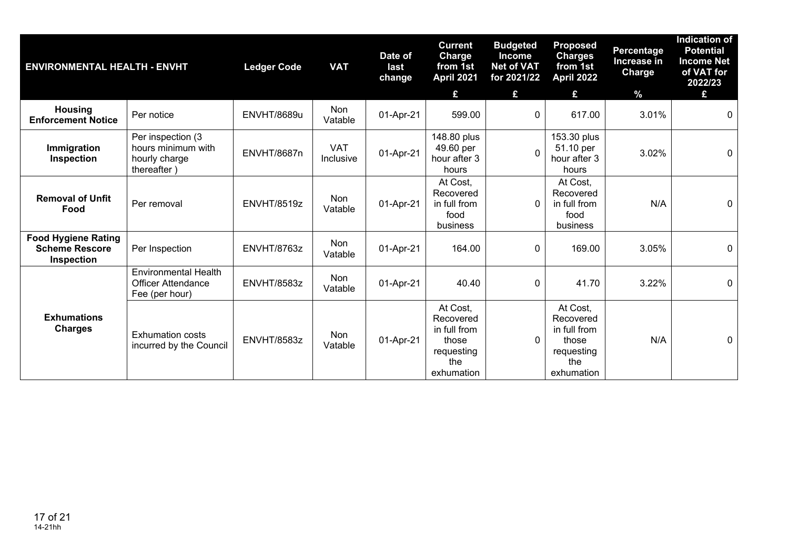| <b>ENVIRONMENTAL HEALTH - ENVHT</b>                               |                                                                            | <b>Ledger Code</b> | <b>VAT</b>              | Date of<br>last<br>change | <b>Current</b><br><b>Charge</b><br>from 1st<br>April 2021<br>£                    | <b>Budgeted</b><br><b>Income</b><br><b>Net of VAT</b><br>for 2021/22<br>£ | <b>Proposed</b><br><b>Charges</b><br>from 1st<br>April 2022<br>£                  | <b>Percentage</b><br>Increase in<br>Charge<br>$\frac{9}{6}$ | <b>Indication of</b><br><b>Potential</b><br><b>Income Net</b><br>of VAT for<br>2022/23<br>£ |
|-------------------------------------------------------------------|----------------------------------------------------------------------------|--------------------|-------------------------|---------------------------|-----------------------------------------------------------------------------------|---------------------------------------------------------------------------|-----------------------------------------------------------------------------------|-------------------------------------------------------------|---------------------------------------------------------------------------------------------|
| <b>Housing</b><br><b>Enforcement Notice</b>                       | Per notice                                                                 | ENVHT/8689u        | Non<br>Vatable          | 01-Apr-21                 | 599.00                                                                            | $\Omega$                                                                  | 617.00                                                                            | 3.01%                                                       | $\mathbf{0}$                                                                                |
| Immigration<br>Inspection                                         | Per inspection (3)<br>hours minimum with<br>hourly charge<br>thereafter)   | <b>ENVHT/8687n</b> | <b>VAT</b><br>Inclusive | 01-Apr-21                 | 148.80 plus<br>49.60 per<br>hour after 3<br>hours                                 | $\Omega$                                                                  | 153.30 plus<br>51.10 per<br>hour after 3<br>hours                                 | 3.02%                                                       | $\mathbf 0$                                                                                 |
| <b>Removal of Unfit</b><br>Food                                   | Per removal                                                                | <b>ENVHT/8519z</b> | <b>Non</b><br>Vatable   | 01-Apr-21                 | At Cost.<br>Recovered<br>in full from<br>food<br>business                         | $\Omega$                                                                  | At Cost.<br>Recovered<br>in full from<br>food<br>business                         | N/A                                                         | $\mathbf{0}$                                                                                |
| <b>Food Hygiene Rating</b><br><b>Scheme Rescore</b><br>Inspection | Per Inspection                                                             | ENVHT/8763z        | Non<br>Vatable          | 01-Apr-21                 | 164.00                                                                            | $\mathbf 0$                                                               | 169.00                                                                            | 3.05%                                                       | 0                                                                                           |
|                                                                   | <b>Environmental Health</b><br><b>Officer Attendance</b><br>Fee (per hour) | <b>ENVHT/8583z</b> | Non<br>Vatable          | 01-Apr-21                 | 40.40                                                                             | 0                                                                         | 41.70                                                                             | 3.22%                                                       | $\mathbf 0$                                                                                 |
| <b>Exhumations</b><br><b>Charges</b>                              | <b>Exhumation costs</b><br>incurred by the Council                         | <b>ENVHT/8583z</b> | Non<br>Vatable          | 01-Apr-21                 | At Cost,<br>Recovered<br>in full from<br>those<br>requesting<br>the<br>exhumation | $\Omega$                                                                  | At Cost.<br>Recovered<br>in full from<br>those<br>requesting<br>the<br>exhumation | N/A                                                         | $\mathbf 0$                                                                                 |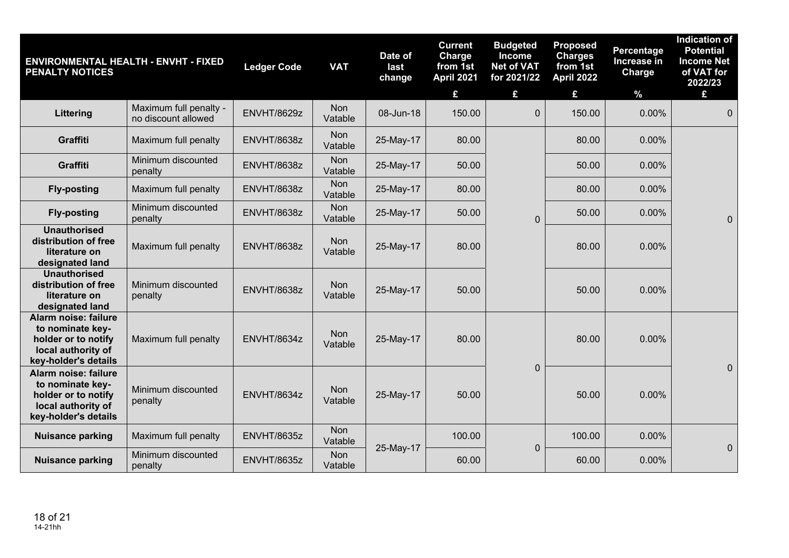| <b>PENALTY NOTICES</b>                                                                                        | <b>ENVIRONMENTAL HEALTH - ENVHT - FIXED</b>   | <b>Ledger Code</b> | <b>VAT</b>            | Date of<br>last<br>change | <b>Current</b><br>Charge<br>from 1st<br><b>April 2021</b><br>£ | <b>Budgeted</b><br><b>Income</b><br><b>Net of VAT</b><br>for 2021/22<br>£ | <b>Proposed</b><br><b>Charges</b><br>from 1st<br><b>April 2022</b><br>£ | Percentage<br>Increase in<br><b>Charge</b><br>$\%$ | <b>Indication of</b><br><b>Potential</b><br><b>Income Net</b><br>of VAT for<br>2022/23<br>£ |
|---------------------------------------------------------------------------------------------------------------|-----------------------------------------------|--------------------|-----------------------|---------------------------|----------------------------------------------------------------|---------------------------------------------------------------------------|-------------------------------------------------------------------------|----------------------------------------------------|---------------------------------------------------------------------------------------------|
| Littering                                                                                                     | Maximum full penalty -<br>no discount allowed | <b>ENVHT/8629z</b> | <b>Non</b><br>Vatable | 08-Jun-18                 | 150.00                                                         | $\overline{0}$                                                            | 150.00                                                                  | $0.00\%$                                           | $\overline{0}$                                                                              |
| Graffiti                                                                                                      | Maximum full penalty                          | ENVHT/8638z        | Non<br>Vatable        | 25-May-17                 | 80.00                                                          |                                                                           | 80.00                                                                   | 0.00%                                              |                                                                                             |
| Graffiti                                                                                                      | Minimum discounted<br>penalty                 | ENVHT/8638z        | <b>Non</b><br>Vatable | 25-May-17                 | 50.00                                                          |                                                                           | 50.00                                                                   | 0.00%                                              |                                                                                             |
| <b>Fly-posting</b>                                                                                            | Maximum full penalty                          | ENVHT/8638z        | Non<br>Vatable        | 25-May-17                 | 80.00                                                          |                                                                           | 80.00                                                                   | 0.00%                                              |                                                                                             |
| <b>Fly-posting</b>                                                                                            | Minimum discounted<br>penalty                 | ENVHT/8638z        | Non<br>Vatable        | 25-May-17                 | 50.00                                                          | $\overline{0}$                                                            | 50.00                                                                   | 0.00%                                              | $\mathbf{0}$                                                                                |
| <b>Unauthorised</b><br>distribution of free<br>literature on<br>designated land                               | Maximum full penalty                          | ENVHT/8638z        | <b>Non</b><br>Vatable | 25-May-17                 | 80.00                                                          |                                                                           | 80.00                                                                   | 0.00%                                              |                                                                                             |
| <b>Unauthorised</b><br>distribution of free<br>literature on<br>designated land                               | Minimum discounted<br>penalty                 | ENVHT/8638z        | <b>Non</b><br>Vatable | 25-May-17                 | 50.00                                                          |                                                                           | 50.00                                                                   | 0.00%                                              |                                                                                             |
| Alarm noise: failure<br>to nominate key-<br>holder or to notify<br>local authority of<br>key-holder's details | Maximum full penalty                          | ENVHT/8634z        | Non<br>Vatable        | 25-May-17                 | 80.00                                                          |                                                                           | 80.00                                                                   | 0.00%                                              |                                                                                             |
| Alarm noise: failure<br>to nominate key-<br>holder or to notify<br>local authority of<br>key-holder's details | Minimum discounted<br>penalty                 | ENVHT/8634z        | Non<br>Vatable        | 25-May-17                 | 50.00                                                          | $\mathbf 0$                                                               | 50.00                                                                   | 0.00%                                              | $\mathbf 0$                                                                                 |
| <b>Nuisance parking</b>                                                                                       | Maximum full penalty                          | ENVHT/8635z        | <b>Non</b><br>Vatable |                           | 100.00                                                         | $\mathbf 0$                                                               | 100.00                                                                  | 0.00%                                              | $\mathbf 0$                                                                                 |
| <b>Nuisance parking</b>                                                                                       | Minimum discounted<br>penalty                 | ENVHT/8635z        | Non<br>Vatable        | 25-May-17                 | 60.00                                                          |                                                                           | 60.00                                                                   | 0.00%                                              |                                                                                             |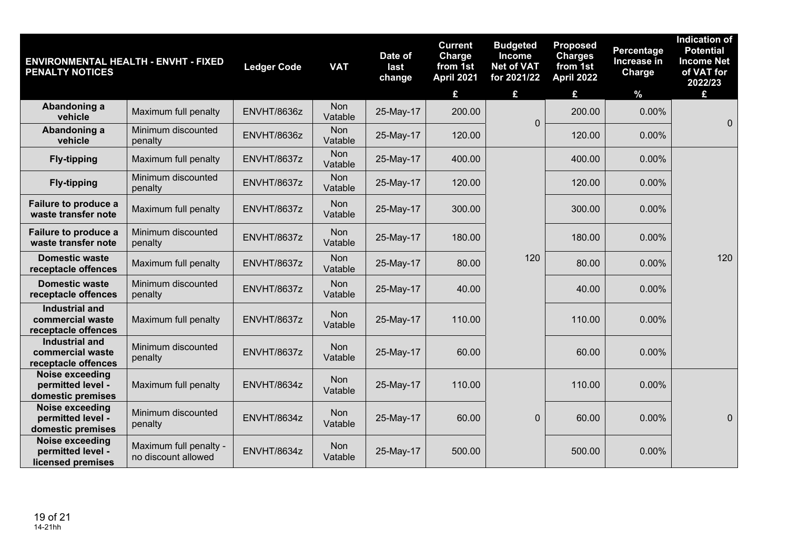| <b>ENVIRONMENTAL HEALTH - ENVHT - FIXED</b><br><b>PENALTY NOTICES</b> |                                               | <b>Ledger Code</b> | <b>VAT</b>            | Date of<br>last<br>change | <b>Current</b><br>Charge<br>from 1st<br>April 2021<br>£ | <b>Budgeted</b><br><b>Income</b><br><b>Net of VAT</b><br>for 2021/22<br>£ | <b>Proposed</b><br><b>Charges</b><br>from 1st<br><b>April 2022</b><br>£ | Percentage<br>Increase in<br>Charge<br>$\%$ | <b>Indication of</b><br><b>Potential</b><br><b>Income Net</b><br>of VAT for<br>2022/23<br>£ |
|-----------------------------------------------------------------------|-----------------------------------------------|--------------------|-----------------------|---------------------------|---------------------------------------------------------|---------------------------------------------------------------------------|-------------------------------------------------------------------------|---------------------------------------------|---------------------------------------------------------------------------------------------|
| Abandoning a<br>vehicle                                               | Maximum full penalty                          | ENVHT/8636z        | <b>Non</b><br>Vatable | 25-May-17                 | 200.00                                                  | $\mathbf 0$                                                               | 200.00                                                                  | 0.00%                                       | $\mathbf 0$                                                                                 |
| Abandoning a<br>vehicle                                               | Minimum discounted<br>penalty                 | ENVHT/8636z        | Non<br>Vatable        | 25-May-17                 | 120.00                                                  |                                                                           | 120.00                                                                  | 0.00%                                       |                                                                                             |
| <b>Fly-tipping</b>                                                    | Maximum full penalty                          | ENVHT/8637z        | <b>Non</b><br>Vatable | 25-May-17                 | 400.00                                                  |                                                                           | 400.00                                                                  | 0.00%                                       |                                                                                             |
| <b>Fly-tipping</b>                                                    | Minimum discounted<br>penalty                 | ENVHT/8637z        | Non<br>Vatable        | 25-May-17                 | 120.00                                                  |                                                                           | 120.00                                                                  | 0.00%                                       |                                                                                             |
| Failure to produce a<br>waste transfer note                           | Maximum full penalty                          | ENVHT/8637z        | <b>Non</b><br>Vatable | 25-May-17                 | 300.00                                                  |                                                                           | 300.00                                                                  | 0.00%                                       |                                                                                             |
| Failure to produce a<br>waste transfer note                           | Minimum discounted<br>penalty                 | ENVHT/8637z        | <b>Non</b><br>Vatable | 25-May-17                 | 180.00                                                  |                                                                           | 180.00                                                                  | 0.00%                                       |                                                                                             |
| <b>Domestic waste</b><br>receptacle offences                          | Maximum full penalty                          | ENVHT/8637z        | Non<br>Vatable        | 25-May-17                 | 80.00                                                   | 120                                                                       | 80.00                                                                   | 0.00%                                       | 120                                                                                         |
| <b>Domestic waste</b><br>receptacle offences                          | Minimum discounted<br>penalty                 | ENVHT/8637z        | Non<br>Vatable        | 25-May-17                 | 40.00                                                   |                                                                           | 40.00                                                                   | 0.00%                                       |                                                                                             |
| <b>Industrial and</b><br>commercial waste<br>receptacle offences      | Maximum full penalty                          | ENVHT/8637z        | <b>Non</b><br>Vatable | 25-May-17                 | 110.00                                                  |                                                                           | 110.00                                                                  | 0.00%                                       |                                                                                             |
| <b>Industrial and</b><br>commercial waste<br>receptacle offences      | Minimum discounted<br>penalty                 | ENVHT/8637z        | Non<br>Vatable        | 25-May-17                 | 60.00                                                   |                                                                           | 60.00                                                                   | 0.00%                                       |                                                                                             |
| <b>Noise exceeding</b><br>permitted level -<br>domestic premises      | Maximum full penalty                          | ENVHT/8634z        | Non<br>Vatable        | 25-May-17                 | 110.00                                                  |                                                                           | 110.00                                                                  | 0.00%                                       |                                                                                             |
| <b>Noise exceeding</b><br>permitted level -<br>domestic premises      | Minimum discounted<br>penalty                 | ENVHT/8634z        | <b>Non</b><br>Vatable | 25-May-17                 | 60.00                                                   | $\boldsymbol{0}$                                                          | 60.00                                                                   | 0.00%                                       | $\pmb{0}$                                                                                   |
| Noise exceeding<br>permitted level -<br>licensed premises             | Maximum full penalty -<br>no discount allowed | ENVHT/8634z        | Non<br>Vatable        | 25-May-17                 | 500.00                                                  |                                                                           | 500.00                                                                  | 0.00%                                       |                                                                                             |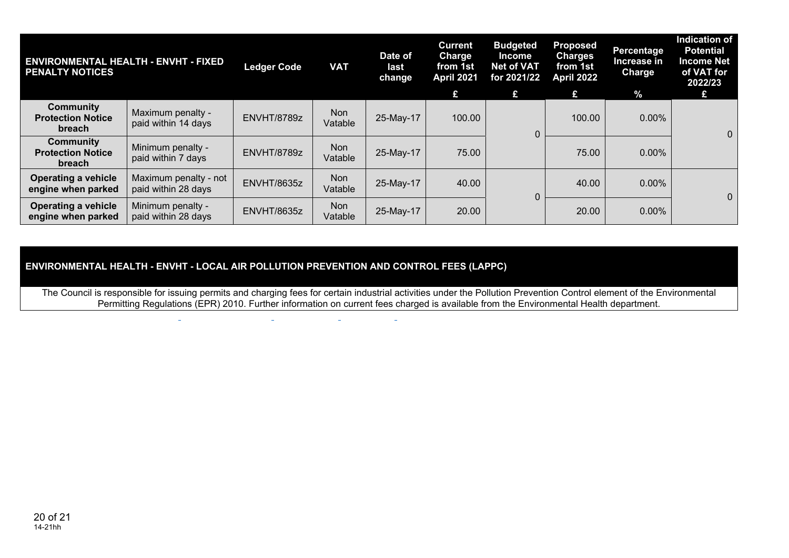| <b>ENVIRONMENTAL HEALTH - ENVHT - FIXED</b><br><b>PENALTY NOTICES</b> |                                              | <b>Ledger Code</b> | <b>VAT</b>            | Date of<br>last<br>change | <b>Current</b><br><b>Charge</b><br>from 1st<br>April 2021<br>£ | <b>Budgeted</b><br><b>Income</b><br>Net of VAT<br>for 2021/22<br>£ | <b>Proposed</b><br><b>Charges</b><br>from 1st<br>April 2022<br>£ | Percentage<br>Increase in<br>Charge<br>$\frac{1}{2}$ | <b>Indication of</b><br><b>Potential</b><br><b>Income Net</b><br>of VAT for<br>2022/23<br>12 |
|-----------------------------------------------------------------------|----------------------------------------------|--------------------|-----------------------|---------------------------|----------------------------------------------------------------|--------------------------------------------------------------------|------------------------------------------------------------------|------------------------------------------------------|----------------------------------------------------------------------------------------------|
| Community<br><b>Protection Notice</b><br>breach                       | Maximum penalty -<br>paid within 14 days     | ENVHT/8789z        | Non<br>Vatable        | 25-May-17                 | 100.00                                                         | 0                                                                  | 100.00                                                           | $0.00\%$                                             | $\overline{0}$                                                                               |
| Community<br><b>Protection Notice</b><br><b>breach</b>                | Minimum penalty -<br>paid within 7 days      | ENVHT/8789z        | <b>Non</b><br>Vatable | 25-May-17                 | 75.00                                                          |                                                                    | 75.00                                                            | $0.00\%$                                             |                                                                                              |
| <b>Operating a vehicle</b><br>engine when parked                      | Maximum penalty - not<br>paid within 28 days | ENVHT/8635z        | Non<br>Vatable        | 25-May-17                 | 40.00                                                          | 0                                                                  | 40.00                                                            | $0.00\%$                                             | $\mathbf{0}$                                                                                 |
| <b>Operating a vehicle</b><br>engine when parked                      | Minimum penalty -<br>paid within 28 days     | ENVHT/8635z        | <b>Non</b><br>Vatable | 25-May-17                 | 20.00                                                          |                                                                    | 20.00                                                            | $0.00\%$                                             |                                                                                              |

## **ENVIRONMENTAL HEALTH - ENVHT - LOCAL AIR POLLUTION PREVENTION AND CONTROL FEES (LAPPC)**

 $\sim$ 

 $\sim$ 

The Council is responsible for issuing permits and charging fees for certain industrial activities under the Pollution Prevention Control element of the Environmental Permitting Regulations (EPR) 2010. Further information on current fees charged is available from the Environmental Health department.

i.